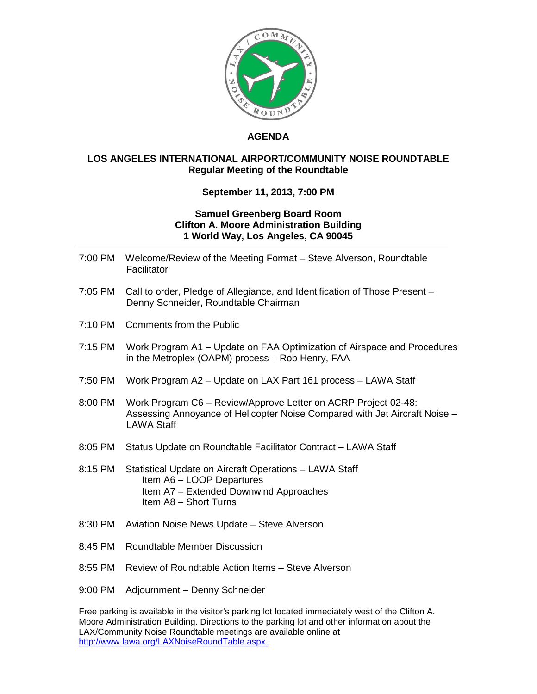

## **AGENDA**

## **LOS ANGELES INTERNATIONAL AIRPORT/COMMUNITY NOISE ROUNDTABLE Regular Meeting of the Roundtable**

## **September 11, 2013, 7:00 PM**

## **Samuel Greenberg Board Room Clifton A. Moore Administration Building 1 World Way, Los Angeles, CA 90045**

- 7:00 PM Welcome/Review of the Meeting Format Steve Alverson, Roundtable **Facilitator**
- 7:05 PM Call to order, Pledge of Allegiance, and Identification of Those Present Denny Schneider, Roundtable Chairman
- 7:10 PM Comments from the Public
- 7:15 PM Work Program A1 Update on FAA Optimization of Airspace and Procedures in the Metroplex (OAPM) process – Rob Henry, FAA
- 7:50 PM Work Program A2 Update on LAX Part 161 process LAWA Staff
- 8:00 PM Work Program C6 Review/Approve Letter on ACRP Project 02-48: Assessing Annoyance of Helicopter Noise Compared with Jet Aircraft Noise – LAWA Staff
- 8:05 PM Status Update on Roundtable Facilitator Contract LAWA Staff
- 8:15 PM Statistical Update on Aircraft Operations LAWA Staff Item A6 – LOOP Departures Item A7 – Extended Downwind Approaches Item A8 – Short Turns
- 8:30 PM Aviation Noise News Update Steve Alverson
- 8:45 PM Roundtable Member Discussion
- 8:55 PM Review of Roundtable Action Items Steve Alverson
- 9:00 PM Adjournment Denny Schneider

Free parking is available in the visitor's parking lot located immediately west of the Clifton A. Moore Administration Building. Directions to the parking lot and other information about the LAX/Community Noise Roundtable meetings are available online at [http://www.lawa.org/LAXNoiseRoundTable.aspx.](http://www.lawa.org/LAXNoiseRoundTable.aspx)